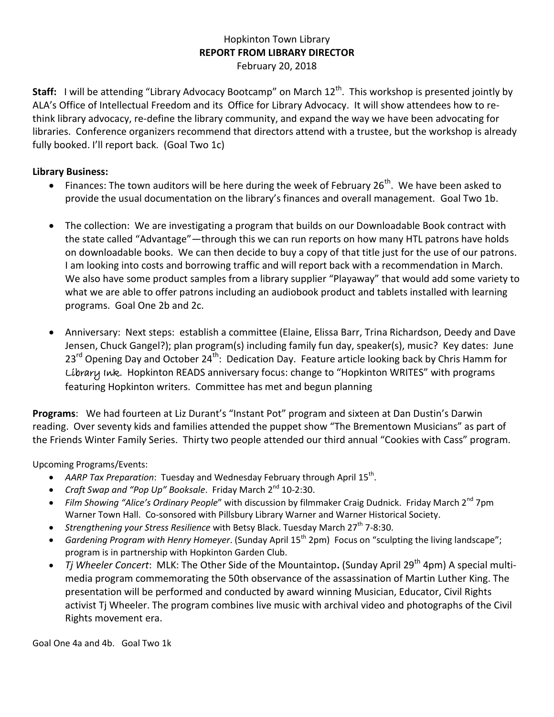## Hopkinton Town Library **REPORT FROM LIBRARY DIRECTOR** February 20, 2018

Staff: I will be attending "Library Advocacy Bootcamp" on March 12<sup>th</sup>. This workshop is presented jointly by ALA's Office of Intellectual Freedom and its Office for Library Advocacy. It will show attendees how to rethink library advocacy, re-define the library community, and expand the way we have been advocating for libraries. Conference organizers recommend that directors attend with a trustee, but the workshop is already fully booked. I'll report back. (Goal Two 1c)

## **Library Business:**

- Finances: The town auditors will be here during the week of February 26<sup>th</sup>. We have been asked to provide the usual documentation on the library's finances and overall management. Goal Two 1b.
- The collection: We are investigating a program that builds on our Downloadable Book contract with the state called "Advantage"—through this we can run reports on how many HTL patrons have holds on downloadable books. We can then decide to buy a copy of that title just for the use of our patrons. I am looking into costs and borrowing traffic and will report back with a recommendation in March. We also have some product samples from a library supplier "Playaway" that would add some variety to what we are able to offer patrons including an audiobook product and tablets installed with learning programs. Goal One 2b and 2c.
- Anniversary:Next steps: establish a committee (Elaine, Elissa Barr, Trina Richardson, Deedy and Dave Jensen, Chuck Gangel?); plan program(s) including family fun day, speaker(s), music? Key dates: June  $23^{rd}$  Opening Day and October  $24^{th}$ : Dedication Day. Feature article looking back by Chris Hamm for Library Ink. Hopkinton READS anniversary focus: change to "Hopkinton WRITES" with programs featuring Hopkinton writers. Committee has met and begun planning

**Programs**: We had fourteen at Liz Durant's "Instant Pot" program and sixteen at Dan Dustin's Darwin reading. Over seventy kids and families attended the puppet show "The Brementown Musicians" as part of the Friends Winter Family Series. Thirty two people attended our third annual "Cookies with Cass" program.

Upcoming Programs/Events:

- AARP Tax Preparation: Tuesday and Wednesday February through April 15<sup>th</sup>.
- *Craft Swap and "Pop Up" Booksale.* Friday March 2<sup>nd</sup> 10-2:30.
- Film Showing "Alice's Ordinary People" with discussion by filmmaker Craig Dudnick. Friday March 2<sup>nd</sup> 7pm Warner Town Hall. Co-sonsored with Pillsbury Library Warner and Warner Historical Society.
- *Strengthening your Stress Resilience* with Betsy Black. Tuesday March 27<sup>th</sup> 7-8:30.
- *Gardening Program with Henry Homeyer*. (Sunday April 15<sup>th</sup> 2pm) Focus on "sculpting the living landscape"; program is in partnership with Hopkinton Garden Club.
- *Tj Wheeler Concert*: MLK: The Other Side of the Mountaintop. (Sunday April 29<sup>th</sup> 4pm) A special multimedia program commemorating the 50th observance of the assassination of Martin Luther King. The presentation will be performed and conducted by award winning Musician, Educator, Civil Rights activist Tj Wheeler. The program combines live music with archival video and photographs of the Civil Rights movement era.

Goal One 4a and 4b. Goal Two 1k